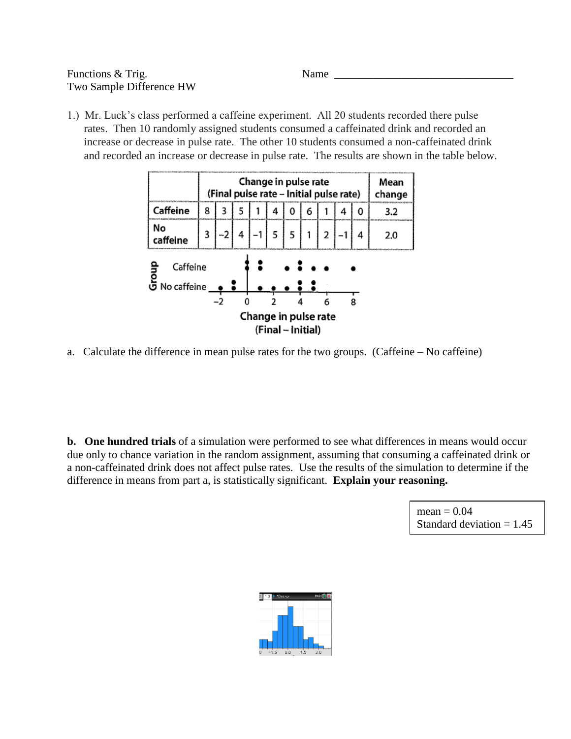## Functions & Trig. Name Two Sample Difference HW

1.) Mr. Luck's class performed a caffeine experiment. All 20 students recorded there pulse rates. Then 10 randomly assigned students consumed a caffeinated drink and recorded an increase or decrease in pulse rate. The other 10 students consumed a non-caffeinated drink and recorded an increase or decrease in pulse rate. The results are shown in the table below.

|                                            | Change in pulse rate<br>(Final pulse rate - Initial pulse rate) |   |   |  |   |  |   | Mean<br>change |   |   |     |
|--------------------------------------------|-----------------------------------------------------------------|---|---|--|---|--|---|----------------|---|---|-----|
| Caffeine                                   | 8                                                               | 3 | 5 |  | 4 |  | 6 |                | 4 | 0 | 3.2 |
| No<br>caffeine                             | 3                                                               |   | 4 |  | 5 |  |   | 2              |   | 4 | 2.0 |
| Caffeine<br>ခြံ<br>ဟိ No caffeine          |                                                                 |   |   |  |   |  |   |                |   |   |     |
|                                            |                                                                 |   |   |  |   |  |   |                |   | 8 |     |
| Change in pulse rate<br>(Final -- Initial) |                                                                 |   |   |  |   |  |   |                |   |   |     |

a. Calculate the difference in mean pulse rates for the two groups. (Caffeine – No caffeine)

**b. One hundred trials** of a simulation were performed to see what differences in means would occur due only to chance variation in the random assignment, assuming that consuming a caffeinated drink or a non-caffeinated drink does not affect pulse rates. Use the results of the simulation to determine if the difference in means from part a, is statistically significant. **Explain your reasoning.**

> $mean = 0.04$ Standard deviation  $= 1.45$

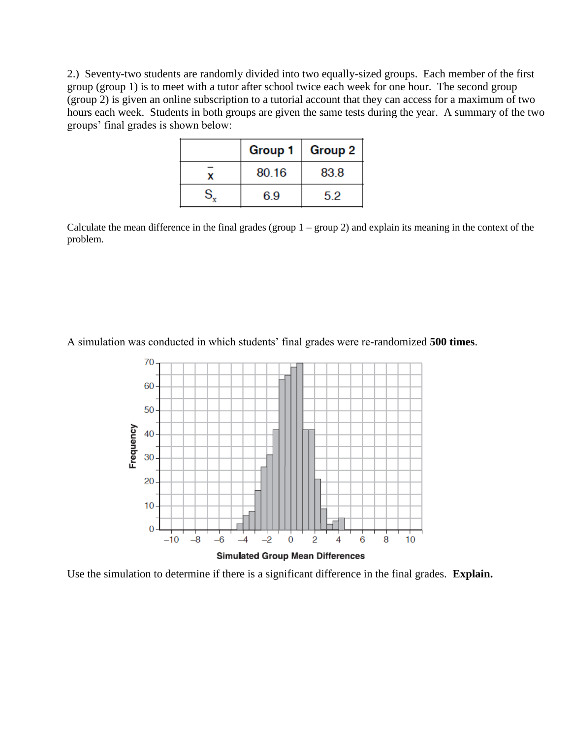2.) Seventy-two students are randomly divided into two equally-sized groups. Each member of the first group (group 1) is to meet with a tutor after school twice each week for one hour. The second group (group 2) is given an online subscription to a tutorial account that they can access for a maximum of two hours each week. Students in both groups are given the same tests during the year. A summary of the two groups' final grades is shown below:

| Group 1 | Group 2 $ $ |
|---------|-------------|
| 80.16   | 83.8        |
| 6.9     | 5.2         |

Calculate the mean difference in the final grades (group  $1 -$  group 2) and explain its meaning in the context of the problem.

A simulation was conducted in which students' final grades were re-randomized **500 times**.



Use the simulation to determine if there is a significant difference in the final grades. **Explain.**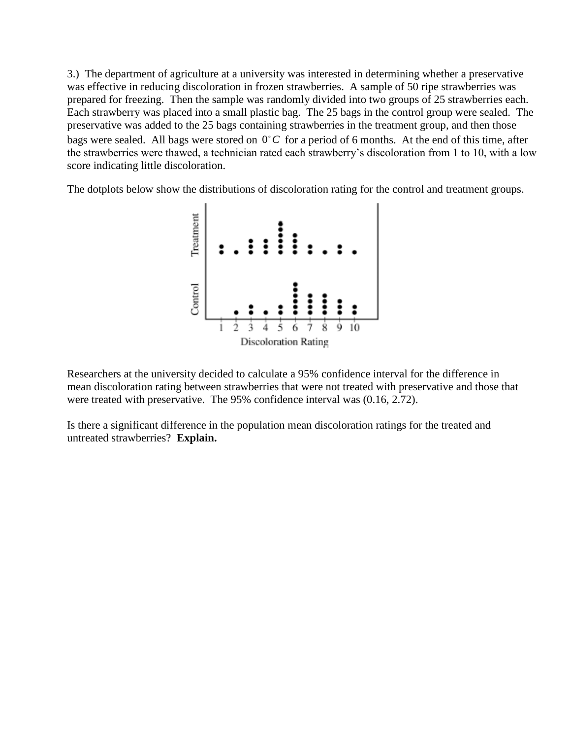3.) The department of agriculture at a university was interested in determining whether a preservative was effective in reducing discoloration in frozen strawberries. A sample of 50 ripe strawberries was prepared for freezing. Then the sample was randomly divided into two groups of 25 strawberries each. Each strawberry was placed into a small plastic bag. The 25 bags in the control group were sealed. The preservative was added to the 25 bags containing strawberries in the treatment group, and then those bags were sealed. All bags were stored on  $0^{\circ}$ C for a period of 6 months. At the end of this time, after the strawberries were thawed, a technician rated each strawberry's discoloration from 1 to 10, with a low score indicating little discoloration.

The dotplots below show the distributions of discoloration rating for the control and treatment groups.



Researchers at the university decided to calculate a 95% confidence interval for the difference in mean discoloration rating between strawberries that were not treated with preservative and those that were treated with preservative. The 95% confidence interval was (0.16, 2.72).

Is there a significant difference in the population mean discoloration ratings for the treated and untreated strawberries? **Explain.**